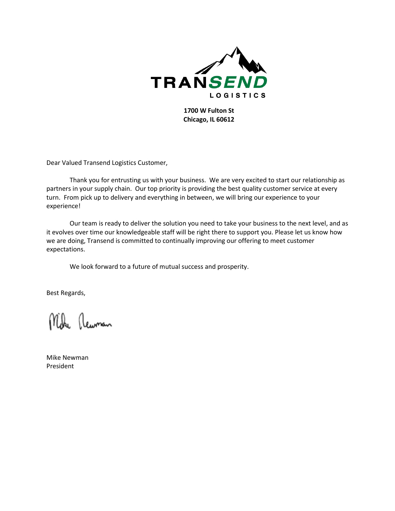

**1700 W Fulton St Chicago, IL 60612**

Dear Valued Transend Logistics Customer,

Thank you for entrusting us with your business. We are very excited to start our relationship as partners in your supply chain. Our top priority is providing the best quality customer service at every turn. From pick up to delivery and everything in between, we will bring our experience to your experience!

Our team is ready to deliver the solution you need to take your business to the next level, and as it evolves over time our knowledgeable staff will be right there to support you. Please let us know how we are doing, Transend is committed to continually improving our offering to meet customer expectations.

We look forward to a future of mutual success and prosperity.

Best Regards,

Mike Rewman

Mike Newman President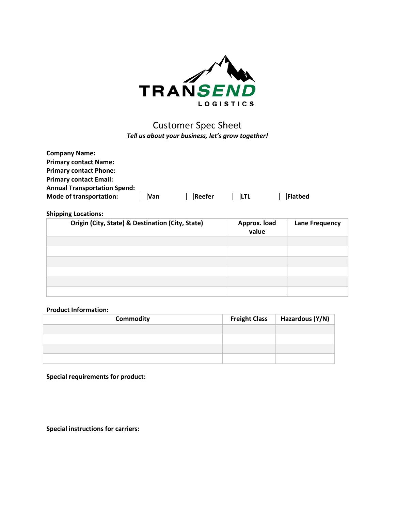

## Customer Spec Sheet *Tell us about your business, let's grow together!*

| <b>Company Name:</b>                |            |        |             |         |
|-------------------------------------|------------|--------|-------------|---------|
| <b>Primary contact Name:</b>        |            |        |             |         |
| <b>Primary contact Phone:</b>       |            |        |             |         |
| <b>Primary contact Email:</b>       |            |        |             |         |
| <b>Annual Transportation Spend:</b> |            |        |             |         |
| <b>Mode of transportation:</b>      | <b>Van</b> | Reefer | <b>ILTL</b> | Flatbed |

## **Shipping Locations:**

| Origin (City, State) & Destination (City, State) | Approx. load<br>value | <b>Lane Frequency</b> |
|--------------------------------------------------|-----------------------|-----------------------|
|                                                  |                       |                       |
|                                                  |                       |                       |
|                                                  |                       |                       |
|                                                  |                       |                       |
|                                                  |                       |                       |
|                                                  |                       |                       |

## **Product Information:**

| Commodity | <b>Freight Class</b> | Hazardous (Y/N) |
|-----------|----------------------|-----------------|
|           |                      |                 |
|           |                      |                 |
|           |                      |                 |
|           |                      |                 |

**Special requirements for product:**

**Special instructions for carriers:**